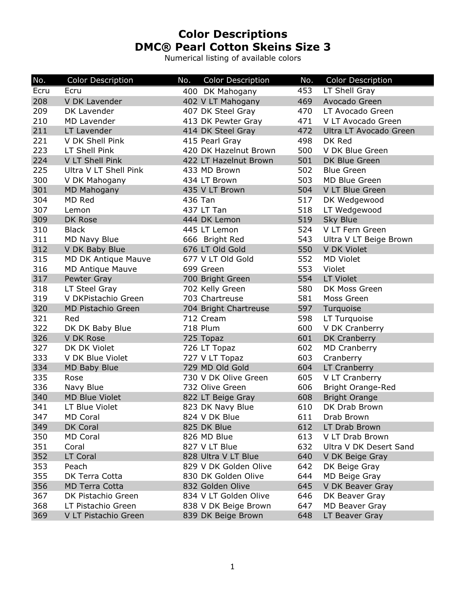## **Color Descriptions DMC® Pearl Cotton Skeins Size 3**

Numerical listing of available colors

| No.  | <b>Color Description</b> | No. | <b>Color Description</b> | No. | <b>Color Description</b> |
|------|--------------------------|-----|--------------------------|-----|--------------------------|
| Ecru | Ecru                     |     | 400 DK Mahogany          | 453 | LT Shell Gray            |
| 208  | V DK Lavender            |     | 402 V LT Mahogany        | 469 | Avocado Green            |
| 209  | DK Lavender              |     | 407 DK Steel Gray        | 470 | LT Avocado Green         |
| 210  | MD Lavender              |     | 413 DK Pewter Gray       | 471 | V LT Avocado Green       |
| 211  | LT Lavender              |     | 414 DK Steel Gray        | 472 | Ultra LT Avocado Green   |
| 221  | V DK Shell Pink          |     | 415 Pearl Gray           | 498 | DK Red                   |
| 223  | LT Shell Pink            |     | 420 DK Hazelnut Brown    | 500 | V DK Blue Green          |
| 224  | V LT Shell Pink          |     | 422 LT Hazelnut Brown    | 501 | DK Blue Green            |
| 225  | Ultra V LT Shell Pink    |     | 433 MD Brown             | 502 | <b>Blue Green</b>        |
| 300  | V DK Mahogany            |     | 434 LT Brown             | 503 | MD Blue Green            |
| 301  | <b>MD Mahogany</b>       |     | 435 V LT Brown           | 504 | V LT Blue Green          |
| 304  | MD Red                   |     | 436 Tan                  | 517 | DK Wedgewood             |
| 307  | Lemon                    |     | 437 LT Tan               | 518 | LT Wedgewood             |
| 309  | DK Rose                  |     | 444 DK Lemon             | 519 | Sky Blue                 |
| 310  | <b>Black</b>             |     | 445 LT Lemon             | 524 | V LT Fern Green          |
| 311  | MD Navy Blue             |     | 666 Bright Red           | 543 | Ultra V LT Beige Brown   |
| 312  | V DK Baby Blue           |     | 676 LT Old Gold          | 550 | V DK Violet              |
| 315  | MD DK Antique Mauve      |     | 677 V LT Old Gold        | 552 | <b>MD Violet</b>         |
| 316  | <b>MD Antique Mauve</b>  |     | 699 Green                | 553 | Violet                   |
| 317  | Pewter Gray              |     | 700 Bright Green         | 554 | <b>LT Violet</b>         |
| 318  | LT Steel Gray            |     | 702 Kelly Green          | 580 | DK Moss Green            |
| 319  | V DKPistachio Green      |     | 703 Chartreuse           | 581 | Moss Green               |
| 320  | MD Pistachio Green       |     | 704 Bright Chartreuse    | 597 | Turquoise                |
| 321  | Red                      |     | 712 Cream                | 598 | LT Turquoise             |
| 322  | DK DK Baby Blue          |     | <b>718 Plum</b>          | 600 | V DK Cranberry           |
| 326  | V DK Rose                |     | 725 Topaz                | 601 | DK Cranberry             |
| 327  | DK DK Violet             |     | 726 LT Topaz             | 602 | MD Cranberry             |
| 333  | V DK Blue Violet         |     | 727 V LT Topaz           | 603 | Cranberry                |
| 334  | MD Baby Blue             |     | 729 MD Old Gold          | 604 | LT Cranberry             |
| 335  | Rose                     |     | 730 V DK Olive Green     | 605 | V LT Cranberry           |
| 336  | Navy Blue                |     | 732 Olive Green          | 606 | <b>Bright Orange-Red</b> |
| 340  | <b>MD Blue Violet</b>    |     | 822 LT Beige Gray        | 608 | <b>Bright Orange</b>     |
| 341  | LT Blue Violet           |     | 823 DK Navy Blue         | 610 | DK Drab Brown            |
| 347  | MD Coral                 |     | 824 V DK Blue            | 611 | Drab Brown               |
| 349  | DK Coral                 |     | 825 DK Blue              | 612 | LT Drab Brown            |
| 350  | MD Coral                 |     | 826 MD Blue              | 613 | V LT Drab Brown          |
| 351  | Coral                    |     | 827 V LT Blue            | 632 | Ultra V DK Desert Sand   |
| 352  | LT Coral                 |     | 828 Ultra V LT Blue      | 640 | V DK Beige Gray          |
| 353  | Peach                    |     | 829 V DK Golden Olive    | 642 | DK Beige Gray            |
| 355  | DK Terra Cotta           |     | 830 DK Golden Olive      | 644 | MD Beige Gray            |
| 356  | <b>MD Terra Cotta</b>    |     | 832 Golden Olive         | 645 | V DK Beaver Gray         |
| 367  | DK Pistachio Green       |     | 834 V LT Golden Olive    | 646 | DK Beaver Gray           |
| 368  | LT Pistachio Green       |     | 838 V DK Beige Brown     | 647 | <b>MD Beaver Gray</b>    |
| 369  | V LT Pistachio Green     |     | 839 DK Beige Brown       | 648 | LT Beaver Gray           |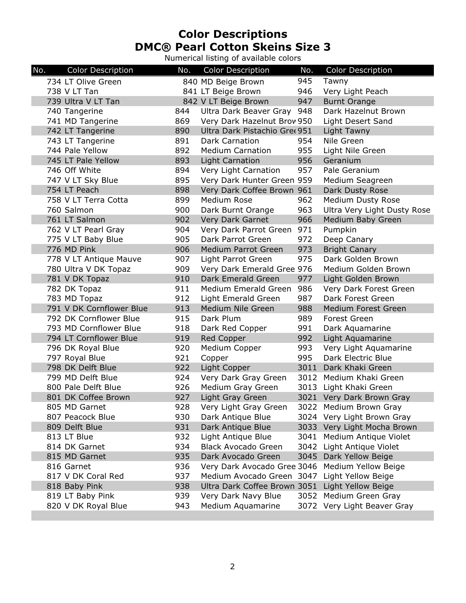## **Color Descriptions DMC® Pearl Cotton Skeins Size 3**

Numerical listing of available colors

| No.<br><b>Color Description</b> | No. | <b>Color Description</b>                        | No.  | <b>Color Description</b>    |
|---------------------------------|-----|-------------------------------------------------|------|-----------------------------|
| 734 LT Olive Green              |     | 840 MD Beige Brown                              | 945  | Tawny                       |
| 738 V LT Tan                    |     | 841 LT Beige Brown                              | 946  | Very Light Peach            |
| 739 Ultra V LT Tan              |     | 842 V LT Beige Brown                            | 947  | <b>Burnt Orange</b>         |
| 740 Tangerine                   | 844 | Ultra Dark Beaver Gray                          | 948  | Dark Hazelnut Brown         |
| 741 MD Tangerine                | 869 | Very Dark Hazelnut Brow 950                     |      | Light Desert Sand           |
| 742 LT Tangerine                | 890 | Ultra Dark Pistachio Gree 951                   |      | Light Tawny                 |
| 743 LT Tangerine                | 891 | Dark Carnation                                  | 954  | Nile Green                  |
| 744 Pale Yellow                 | 892 | <b>Medium Carnation</b>                         | 955  | Light Nile Green            |
| 745 LT Pale Yellow              | 893 | <b>Light Carnation</b>                          | 956  | Geranium                    |
| 746 Off White                   | 894 | Very Light Carnation                            | 957  | Pale Geranium               |
| 747 V LT Sky Blue               | 895 | Very Dark Hunter Green 959                      |      | Medium Seagreen             |
| 754 LT Peach                    | 898 | Very Dark Coffee Brown 961                      |      | Dark Dusty Rose             |
| 758 V LT Terra Cotta            | 899 | Medium Rose                                     | 962  | Medium Dusty Rose           |
| 760 Salmon                      | 900 | Dark Burnt Orange                               | 963  | Ultra Very Light Dusty Rose |
| 761 LT Salmon                   | 902 | Very Dark Garnet                                | 966  | Medium Baby Green           |
| 762 V LT Pearl Gray             | 904 | Very Dark Parrot Green                          | 971  | Pumpkin                     |
| 775 V LT Baby Blue              | 905 | Dark Parrot Green                               | 972  | Deep Canary                 |
| 776 MD Pink                     | 906 | Medium Parrot Green                             | 973  | <b>Bright Canary</b>        |
| 778 V LT Antique Mauve          | 907 | Light Parrot Green                              | 975  | Dark Golden Brown           |
| 780 Ultra V DK Topaz            | 909 | Very Dark Emerald Gree 976                      |      | Medium Golden Brown         |
| 781 V DK Topaz                  | 910 | Dark Emerald Green                              | 977  | Light Golden Brown          |
| 782 DK Topaz                    | 911 | Medium Emerald Green                            | 986  | Very Dark Forest Green      |
| 783 MD Topaz                    | 912 | Light Emerald Green                             | 987  | Dark Forest Green           |
| 791 V DK Cornflower Blue        | 913 | Medium Nile Green                               | 988  | <b>Medium Forest Green</b>  |
| 792 DK Cornflower Blue          | 915 | Dark Plum                                       | 989  | <b>Forest Green</b>         |
| 793 MD Cornflower Blue          | 918 | Dark Red Copper                                 | 991  | Dark Aquamarine             |
| 794 LT Cornflower Blue          | 919 | Red Copper                                      | 992  | Light Aquamarine            |
| 796 DK Royal Blue               | 920 | Medium Copper                                   | 993  | Very Light Aquamarine       |
| 797 Royal Blue                  | 921 | Copper                                          | 995  | Dark Electric Blue          |
| 798 DK Delft Blue               | 922 | Light Copper                                    | 3011 | Dark Khaki Green            |
| 799 MD Delft Blue               | 924 | Very Dark Gray Green                            |      | 3012 Medium Khaki Green     |
| 800 Pale Delft Blue             | 926 | Medium Gray Green                               | 3013 | Light Khaki Green           |
| 801 DK Coffee Brown             | 927 | Light Gray Green                                |      | 3021 Very Dark Brown Gray   |
| 805 MD Garnet                   | 928 | Very Light Gray Green                           |      | 3022 Medium Brown Gray      |
| 807 Peacock Blue                | 930 | Dark Antique Blue                               |      | 3024 Very Light Brown Gray  |
| 809 Delft Blue                  | 931 | Dark Antique Blue                               |      | 3033 Very Light Mocha Brown |
| 813 LT Blue                     | 932 | Light Antique Blue                              | 3041 | Medium Antique Violet       |
| 814 DK Garnet                   | 934 | <b>Black Avocado Green</b>                      |      | 3042 Light Antique Violet   |
| 815 MD Garnet                   | 935 | Dark Avocado Green                              | 3045 | Dark Yellow Beige           |
| 816 Garnet                      | 936 | Very Dark Avocado Gree 3046 Medium Yellow Beige |      |                             |
| 817 V DK Coral Red              | 937 | Medium Avocado Green 3047 Light Yellow Beige    |      |                             |
| 818 Baby Pink                   | 938 | Ultra Dark Coffee Brown 3051 Light Yellow Beige |      |                             |
| 819 LT Baby Pink                | 939 | Very Dark Navy Blue                             |      | 3052 Medium Green Gray      |
| 820 V DK Royal Blue             | 943 | Medium Aquamarine                               |      | 3072 Very Light Beaver Gray |